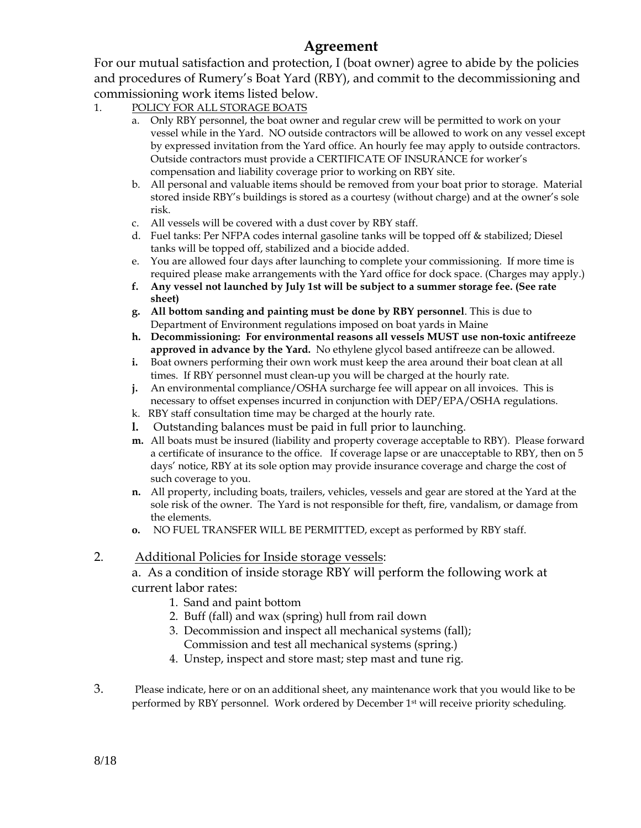## **Agreement**

For our mutual satisfaction and protection, I (boat owner) agree to abide by the policies and procedures of Rumery's Boat Yard (RBY), and commit to the decommissioning and commissioning work items listed below.

- 1. POLICY FOR ALL STORAGE BOATS
	- a. Only RBY personnel, the boat owner and regular crew will be permitted to work on your vessel while in the Yard. NO outside contractors will be allowed to work on any vessel except by expressed invitation from the Yard office. An hourly fee may apply to outside contractors. Outside contractors must provide a CERTIFICATE OF INSURANCE for worker's compensation and liability coverage prior to working on RBY site.
	- b. All personal and valuable items should be removed from your boat prior to storage. Material stored inside RBY's buildings is stored as a courtesy (without charge) and at the owner's sole risk.
	- c. All vessels will be covered with a dust cover by RBY staff.
	- d. Fuel tanks: Per NFPA codes internal gasoline tanks will be topped off & stabilized; Diesel tanks will be topped off, stabilized and a biocide added.
	- e. You are allowed four days after launching to complete your commissioning. If more time is required please make arrangements with the Yard office for dock space. (Charges may apply.)
	- **f. Any vessel not launched by July 1st will be subject to a summer storage fee. (See rate sheet)**
	- **g. All bottom sanding and painting must be done by RBY personnel**. This is due to Department of Environment regulations imposed on boat yards in Maine
	- **h. Decommissioning: For environmental reasons all vessels MUST use non-toxic antifreeze approved in advance by the Yard.** No ethylene glycol based antifreeze can be allowed.
	- **i.** Boat owners performing their own work must keep the area around their boat clean at all times. If RBY personnel must clean-up you will be charged at the hourly rate.
	- **j.** An environmental compliance/OSHA surcharge fee will appear on all invoices. This is necessary to offset expenses incurred in conjunction with DEP/EPA/OSHA regulations.
	- k. RBY staff consultation time may be charged at the hourly rate.
	- **l.** Outstanding balances must be paid in full prior to launching.
	- **m.** All boats must be insured (liability and property coverage acceptable to RBY). Please forward a certificate of insurance to the office. If coverage lapse or are unacceptable to RBY, then on 5 days' notice, RBY at its sole option may provide insurance coverage and charge the cost of such coverage to you.
	- **n.** All property, including boats, trailers, vehicles, vessels and gear are stored at the Yard at the sole risk of the owner. The Yard is not responsible for theft, fire, vandalism, or damage from the elements.
	- **o.** NO FUEL TRANSFER WILL BE PERMITTED, except as performed by RBY staff.

## 2. Additional Policies for Inside storage vessels:

a. As a condition of inside storage RBY will perform the following work at current labor rates:

- 1. Sand and paint bottom
- 2. Buff (fall) and wax (spring) hull from rail down
- 3. Decommission and inspect all mechanical systems (fall); Commission and test all mechanical systems (spring.)
- 4. Unstep, inspect and store mast; step mast and tune rig.
- 3. Please indicate, here or on an additional sheet, any maintenance work that you would like to be performed by RBY personnel. Work ordered by December 1st will receive priority scheduling.